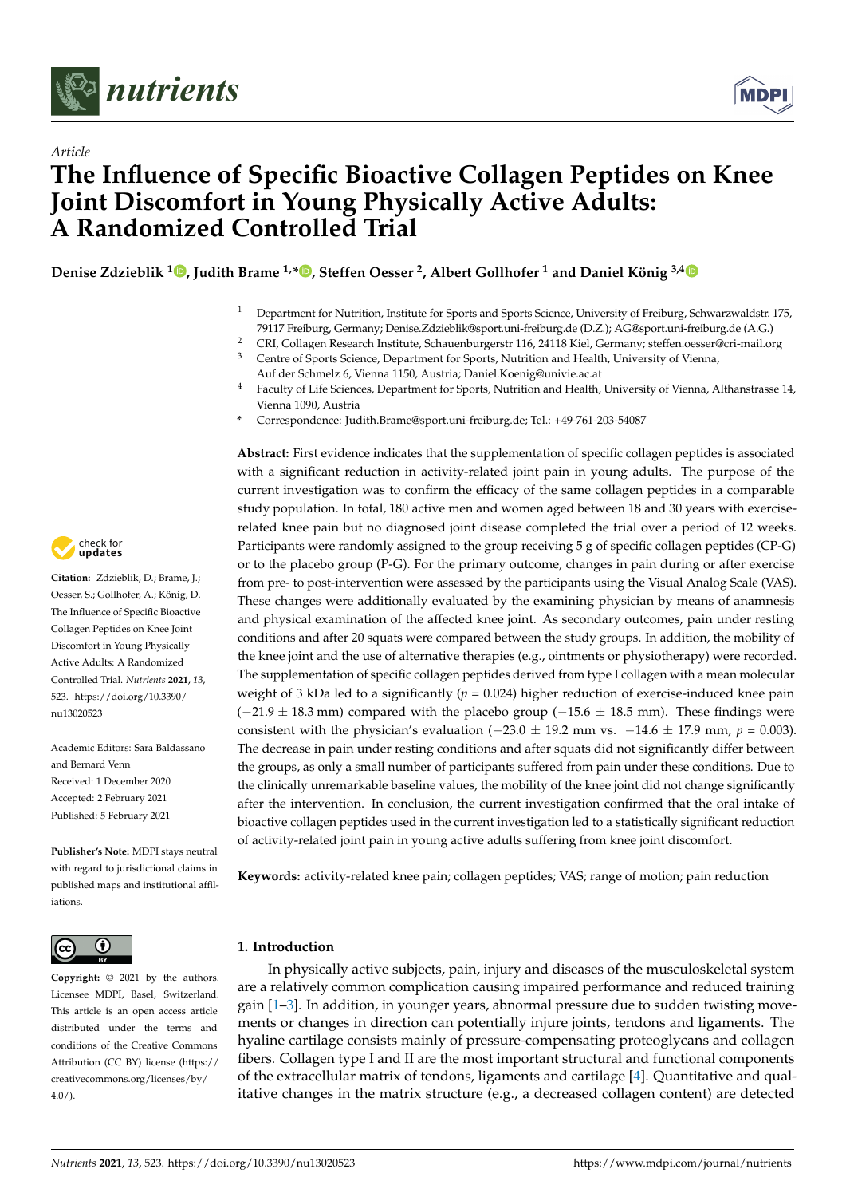



# *Article* **The Influence of Specific Bioactive Collagen Peptides on Knee Joint Discomfort in Young Physically Active Adults: A Randomized Controlled Trial**

**Denise Zdzieblik <sup>1</sup> [,](https://orcid.org/0000-0001-8637-8757) Judith Brame 1,[\\*](https://orcid.org/0000-0002-7283-5600) , Steffen Oesser <sup>2</sup> , Albert Gollhofer <sup>1</sup> and Daniel König 3,[4](https://orcid.org/0000-0001-7002-1286)**

- <sup>1</sup> Department for Nutrition, Institute for Sports and Sports Science, University of Freiburg, Schwarzwaldstr. 175, 79117 Freiburg, Germany; Denise.Zdzieblik@sport.uni-freiburg.de (D.Z.); AG@sport.uni-freiburg.de (A.G.)
- <sup>2</sup> CRI, Collagen Research Institute, Schauenburgerstr 116, 24118 Kiel, Germany; steffen.oesser@cri-mail.org<br><sup>3</sup> Contra of Sports Science, Department for Sports, Nutrition and Holth University of Vienna
- <sup>3</sup> Centre of Sports Science, Department for Sports, Nutrition and Health, University of Vienna, Auf der Schmelz 6, Vienna 1150, Austria; Daniel.Koenig@univie.ac.at
- <sup>4</sup> Faculty of Life Sciences, Department for Sports, Nutrition and Health, University of Vienna, Althanstrasse 14, Vienna 1090, Austria
- **\*** Correspondence: Judith.Brame@sport.uni-freiburg.de; Tel.: +49-761-203-54087

**Abstract:** First evidence indicates that the supplementation of specific collagen peptides is associated with a significant reduction in activity-related joint pain in young adults. The purpose of the current investigation was to confirm the efficacy of the same collagen peptides in a comparable study population. In total, 180 active men and women aged between 18 and 30 years with exerciserelated knee pain but no diagnosed joint disease completed the trial over a period of 12 weeks. Participants were randomly assigned to the group receiving 5 g of specific collagen peptides (CP-G) or to the placebo group (P-G). For the primary outcome, changes in pain during or after exercise from pre- to post-intervention were assessed by the participants using the Visual Analog Scale (VAS). These changes were additionally evaluated by the examining physician by means of anamnesis and physical examination of the affected knee joint. As secondary outcomes, pain under resting conditions and after 20 squats were compared between the study groups. In addition, the mobility of the knee joint and the use of alternative therapies (e.g., ointments or physiotherapy) were recorded. The supplementation of specific collagen peptides derived from type I collagen with a mean molecular weight of 3 kDa led to a significantly  $(p = 0.024)$  higher reduction of exercise-induced knee pain  $(-21.9 \pm 18.3 \text{ mm})$  compared with the placebo group  $(-15.6 \pm 18.5 \text{ mm})$ . These findings were consistent with the physician's evaluation ( $-23.0 \pm 19.2$  mm vs.  $-14.6 \pm 17.9$  mm,  $p = 0.003$ ). The decrease in pain under resting conditions and after squats did not significantly differ between the groups, as only a small number of participants suffered from pain under these conditions. Due to the clinically unremarkable baseline values, the mobility of the knee joint did not change significantly after the intervention. In conclusion, the current investigation confirmed that the oral intake of bioactive collagen peptides used in the current investigation led to a statistically significant reduction of activity-related joint pain in young active adults suffering from knee joint discomfort.

**Keywords:** activity-related knee pain; collagen peptides; VAS; range of motion; pain reduction

# **1. Introduction**

In physically active subjects, pain, injury and diseases of the musculoskeletal system are a relatively common complication causing impaired performance and reduced training gain [\[1–](#page-10-0)[3\]](#page-10-1). In addition, in younger years, abnormal pressure due to sudden twisting movements or changes in direction can potentially injure joints, tendons and ligaments. The hyaline cartilage consists mainly of pressure-compensating proteoglycans and collagen fibers. Collagen type I and II are the most important structural and functional components of the extracellular matrix of tendons, ligaments and cartilage [\[4\]](#page-10-2). Quantitative and qualitative changes in the matrix structure (e.g., a decreased collagen content) are detected



**Citation:** Zdzieblik, D.; Brame, J.; Oesser, S.; Gollhofer, A.; König, D. The Influence of Specific Bioactive Collagen Peptides on Knee Joint Discomfort in Young Physically Active Adults: A Randomized Controlled Trial. *Nutrients* **2021**, *13*, 523. [https://doi.org/10.3390/](https://doi.org/10.3390/nu13020523) [nu13020523](https://doi.org/10.3390/nu13020523)

Academic Editors: Sara Baldassano and Bernard Venn Received: 1 December 2020 Accepted: 2 February 2021 Published: 5 February 2021

**Publisher's Note:** MDPI stays neutral with regard to jurisdictional claims in published maps and institutional affiliations.



**Copyright:** © 2021 by the authors. Licensee MDPI, Basel, Switzerland. This article is an open access article distributed under the terms and conditions of the Creative Commons Attribution (CC BY) license (https:/[/](https://creativecommons.org/licenses/by/4.0/) [creativecommons.org/licenses/by/](https://creativecommons.org/licenses/by/4.0/)  $4.0/$ ).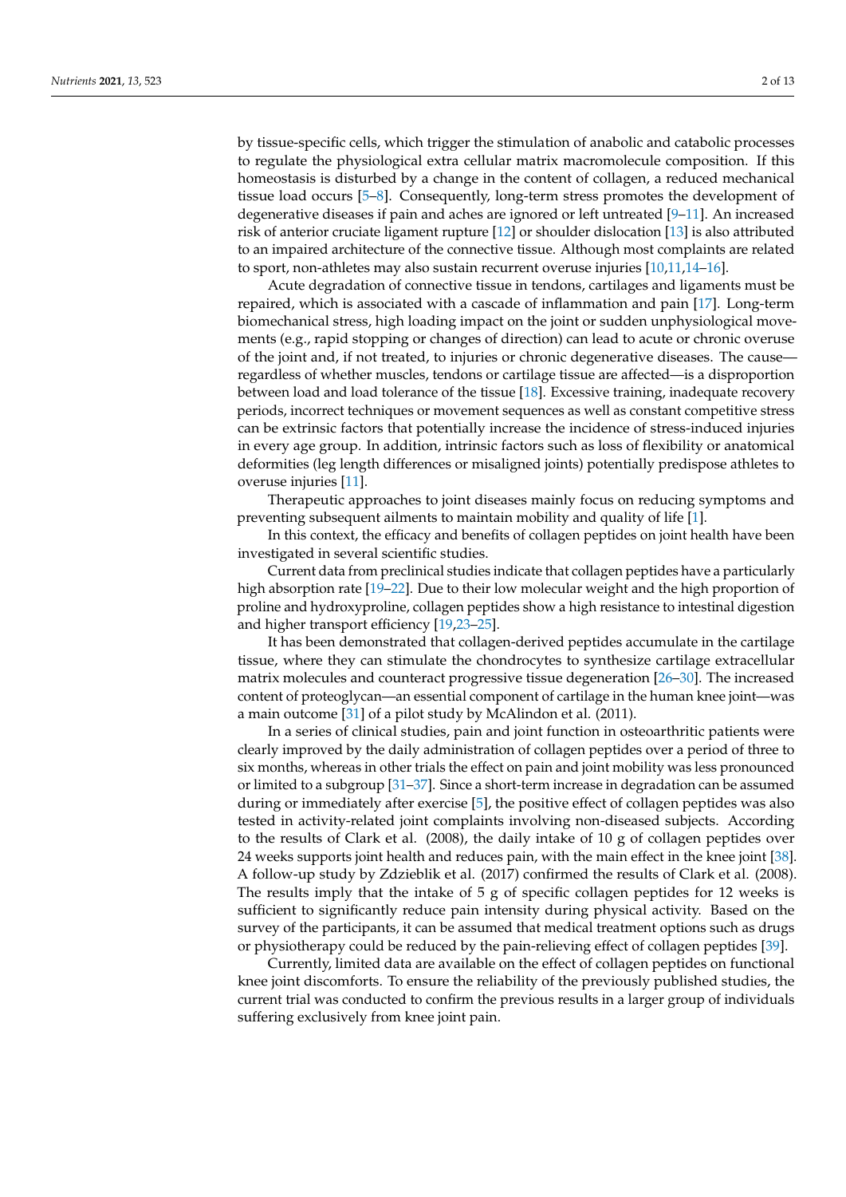by tissue-specific cells, which trigger the stimulation of anabolic and catabolic processes to regulate the physiological extra cellular matrix macromolecule composition. If this homeostasis is disturbed by a change in the content of collagen, a reduced mechanical tissue load occurs [\[5](#page-10-3)[–8\]](#page-10-4). Consequently, long-term stress promotes the development of degenerative diseases if pain and aches are ignored or left untreated [\[9–](#page-10-5)[11\]](#page-10-6). An increased risk of anterior cruciate ligament rupture [\[12\]](#page-10-7) or shoulder dislocation [\[13\]](#page-10-8) is also attributed to an impaired architecture of the connective tissue. Although most complaints are related to sport, non-athletes may also sustain recurrent overuse injuries [\[10,](#page-10-9)[11](#page-10-6)[,14](#page-10-10)[–16\]](#page-10-11).

Acute degradation of connective tissue in tendons, cartilages and ligaments must be repaired, which is associated with a cascade of inflammation and pain [\[17\]](#page-10-12). Long-term biomechanical stress, high loading impact on the joint or sudden unphysiological movements (e.g., rapid stopping or changes of direction) can lead to acute or chronic overuse of the joint and, if not treated, to injuries or chronic degenerative diseases. The cause regardless of whether muscles, tendons or cartilage tissue are affected—is a disproportion between load and load tolerance of the tissue [\[18\]](#page-10-13). Excessive training, inadequate recovery periods, incorrect techniques or movement sequences as well as constant competitive stress can be extrinsic factors that potentially increase the incidence of stress-induced injuries in every age group. In addition, intrinsic factors such as loss of flexibility or anatomical deformities (leg length differences or misaligned joints) potentially predispose athletes to overuse injuries [\[11\]](#page-10-6).

Therapeutic approaches to joint diseases mainly focus on reducing symptoms and preventing subsequent ailments to maintain mobility and quality of life [\[1\]](#page-10-0).

In this context, the efficacy and benefits of collagen peptides on joint health have been investigated in several scientific studies.

Current data from preclinical studies indicate that collagen peptides have a particularly high absorption rate [\[19](#page-10-14)[–22\]](#page-10-15). Due to their low molecular weight and the high proportion of proline and hydroxyproline, collagen peptides show a high resistance to intestinal digestion and higher transport efficiency [\[19,](#page-10-14)[23](#page-10-16)[–25\]](#page-10-17).

It has been demonstrated that collagen-derived peptides accumulate in the cartilage tissue, where they can stimulate the chondrocytes to synthesize cartilage extracellular matrix molecules and counteract progressive tissue degeneration [\[26](#page-10-18)[–30\]](#page-11-0). The increased content of proteoglycan—an essential component of cartilage in the human knee joint—was a main outcome [\[31\]](#page-11-1) of a pilot study by McAlindon et al. (2011).

In a series of clinical studies, pain and joint function in osteoarthritic patients were clearly improved by the daily administration of collagen peptides over a period of three to six months, whereas in other trials the effect on pain and joint mobility was less pronounced or limited to a subgroup [\[31](#page-11-1)[–37\]](#page-11-2). Since a short-term increase in degradation can be assumed during or immediately after exercise [\[5\]](#page-10-3), the positive effect of collagen peptides was also tested in activity-related joint complaints involving non-diseased subjects. According to the results of Clark et al. (2008), the daily intake of 10 g of collagen peptides over 24 weeks supports joint health and reduces pain, with the main effect in the knee joint [\[38\]](#page-11-3). A follow-up study by Zdzieblik et al. (2017) confirmed the results of Clark et al. (2008). The results imply that the intake of 5 g of specific collagen peptides for 12 weeks is sufficient to significantly reduce pain intensity during physical activity. Based on the survey of the participants, it can be assumed that medical treatment options such as drugs or physiotherapy could be reduced by the pain-relieving effect of collagen peptides [\[39\]](#page-11-4).

Currently, limited data are available on the effect of collagen peptides on functional knee joint discomforts. To ensure the reliability of the previously published studies, the current trial was conducted to confirm the previous results in a larger group of individuals suffering exclusively from knee joint pain.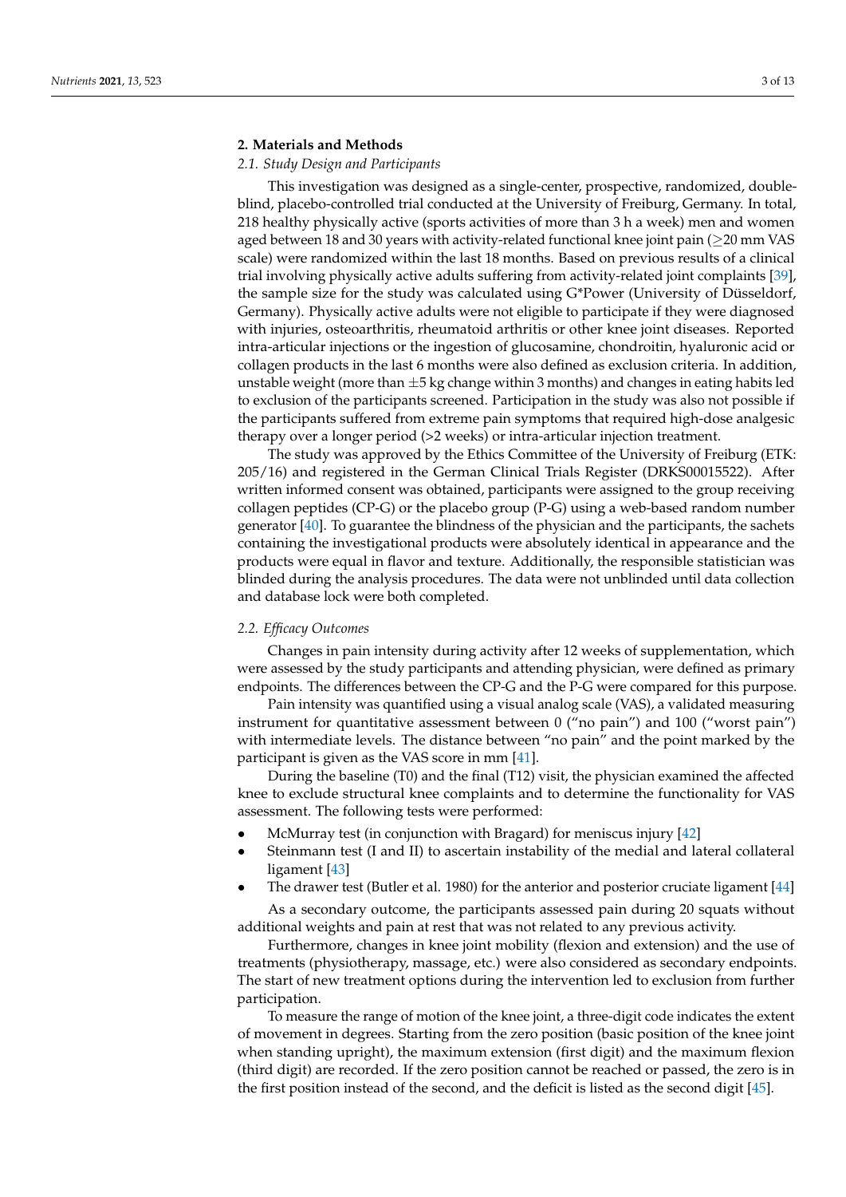# **2. Materials and Methods**

# *2.1. Study Design and Participants*

This investigation was designed as a single-center, prospective, randomized, doubleblind, placebo-controlled trial conducted at the University of Freiburg, Germany. In total, 218 healthy physically active (sports activities of more than 3 h a week) men and women aged between 18 and 30 years with activity-related functional knee joint pain ( $\geq$ 20 mm VAS scale) were randomized within the last 18 months. Based on previous results of a clinical trial involving physically active adults suffering from activity-related joint complaints [\[39\]](#page-11-4), the sample size for the study was calculated using G\*Power (University of Düsseldorf, Germany). Physically active adults were not eligible to participate if they were diagnosed with injuries, osteoarthritis, rheumatoid arthritis or other knee joint diseases. Reported intra-articular injections or the ingestion of glucosamine, chondroitin, hyaluronic acid or collagen products in the last 6 months were also defined as exclusion criteria. In addition, unstable weight (more than  $\pm 5$  kg change within 3 months) and changes in eating habits led to exclusion of the participants screened. Participation in the study was also not possible if the participants suffered from extreme pain symptoms that required high-dose analgesic therapy over a longer period (>2 weeks) or intra-articular injection treatment.

The study was approved by the Ethics Committee of the University of Freiburg (ETK: 205/16) and registered in the German Clinical Trials Register (DRKS00015522). After written informed consent was obtained, participants were assigned to the group receiving collagen peptides (CP-G) or the placebo group (P-G) using a web-based random number generator [\[40\]](#page-11-5). To guarantee the blindness of the physician and the participants, the sachets containing the investigational products were absolutely identical in appearance and the products were equal in flavor and texture. Additionally, the responsible statistician was blinded during the analysis procedures. The data were not unblinded until data collection and database lock were both completed.

#### *2.2. Efficacy Outcomes*

Changes in pain intensity during activity after 12 weeks of supplementation, which were assessed by the study participants and attending physician, were defined as primary endpoints. The differences between the CP-G and the P-G were compared for this purpose.

Pain intensity was quantified using a visual analog scale (VAS), a validated measuring instrument for quantitative assessment between 0 ("no pain") and 100 ("worst pain") with intermediate levels. The distance between "no pain" and the point marked by the participant is given as the VAS score in mm [\[41\]](#page-11-6).

During the baseline (T0) and the final (T12) visit, the physician examined the affected knee to exclude structural knee complaints and to determine the functionality for VAS assessment. The following tests were performed:

- McMurray test (in conjunction with Bragard) for meniscus injury [\[42\]](#page-11-7)
- Steinmann test (I and II) to ascertain instability of the medial and lateral collateral ligament [\[43\]](#page-11-8)
- The drawer test (Butler et al. 1980) for the anterior and posterior cruciate ligament [\[44\]](#page-11-9)

As a secondary outcome, the participants assessed pain during 20 squats without additional weights and pain at rest that was not related to any previous activity.

Furthermore, changes in knee joint mobility (flexion and extension) and the use of treatments (physiotherapy, massage, etc.) were also considered as secondary endpoints. The start of new treatment options during the intervention led to exclusion from further participation.

To measure the range of motion of the knee joint, a three-digit code indicates the extent of movement in degrees. Starting from the zero position (basic position of the knee joint when standing upright), the maximum extension (first digit) and the maximum flexion (third digit) are recorded. If the zero position cannot be reached or passed, the zero is in the first position instead of the second, and the deficit is listed as the second digit [\[45\]](#page-11-10).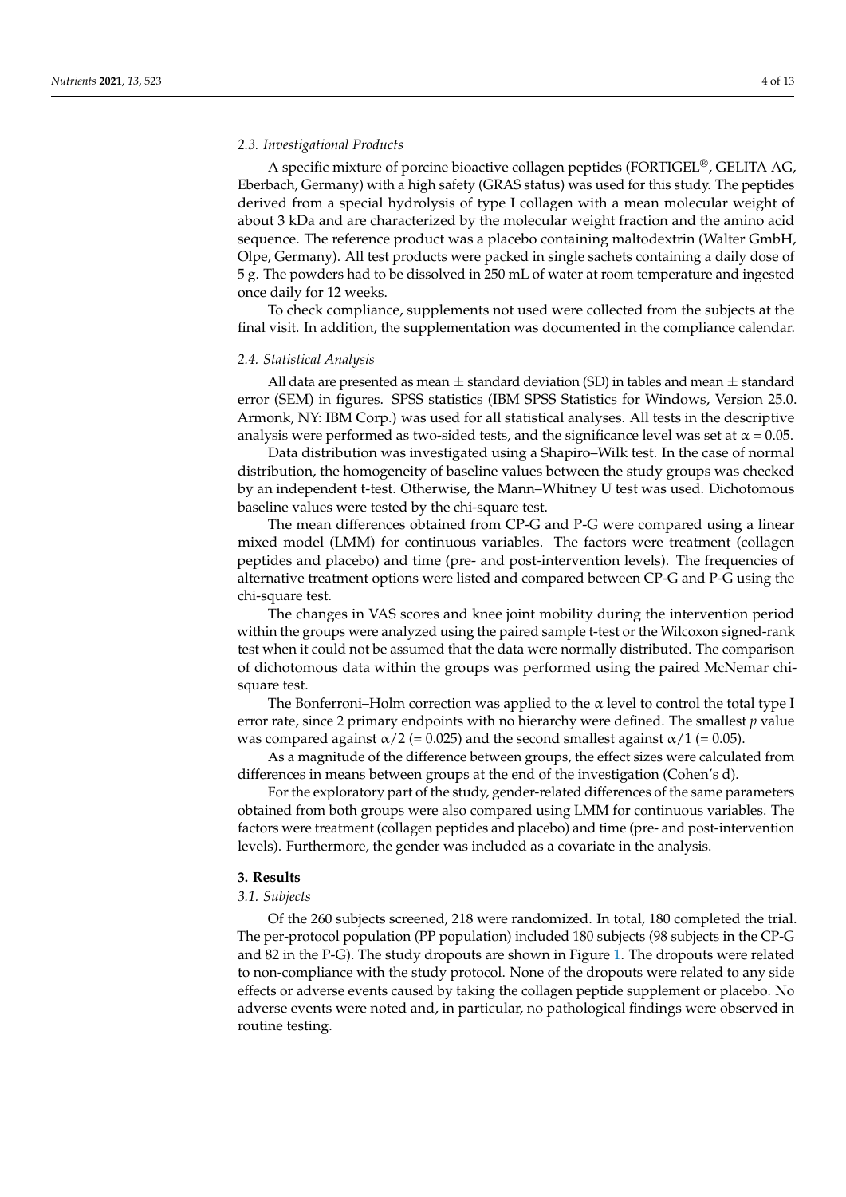A specific mixture of porcine bioactive collagen peptides (FORTIGEL®, GELITA AG, Eberbach, Germany) with a high safety (GRAS status) was used for this study. The peptides derived from a special hydrolysis of type I collagen with a mean molecular weight of about 3 kDa and are characterized by the molecular weight fraction and the amino acid sequence. The reference product was a placebo containing maltodextrin (Walter GmbH, Olpe, Germany). All test products were packed in single sachets containing a daily dose of 5 g. The powders had to be dissolved in 250 mL of water at room temperature and ingested once daily for 12 weeks.

To check compliance, supplements not used were collected from the subjects at the final visit. In addition, the supplementation was documented in the compliance calendar.

#### *2.4. Statistical Analysis*

All data are presented as mean  $\pm$  standard deviation (SD) in tables and mean  $\pm$  standard error (SEM) in figures. SPSS statistics (IBM SPSS Statistics for Windows, Version 25.0. Armonk, NY: IBM Corp.) was used for all statistical analyses. All tests in the descriptive analysis were performed as two-sided tests, and the significance level was set at  $\alpha$  = 0.05.

Data distribution was investigated using a Shapiro–Wilk test. In the case of normal distribution, the homogeneity of baseline values between the study groups was checked by an independent t-test. Otherwise, the Mann–Whitney U test was used. Dichotomous baseline values were tested by the chi-square test.

The mean differences obtained from CP-G and P-G were compared using a linear mixed model (LMM) for continuous variables. The factors were treatment (collagen peptides and placebo) and time (pre- and post-intervention levels). The frequencies of alternative treatment options were listed and compared between CP-G and P-G using the chi-square test.

The changes in VAS scores and knee joint mobility during the intervention period within the groups were analyzed using the paired sample t-test or the Wilcoxon signed-rank test when it could not be assumed that the data were normally distributed. The comparison of dichotomous data within the groups was performed using the paired McNemar chisquare test.

The Bonferroni–Holm correction was applied to the  $\alpha$  level to control the total type I error rate, since 2 primary endpoints with no hierarchy were defined. The smallest *p* value was compared against  $\alpha/2$  (= 0.025) and the second smallest against  $\alpha/1$  (= 0.05).

As a magnitude of the difference between groups, the effect sizes were calculated from differences in means between groups at the end of the investigation (Cohen's d).

For the exploratory part of the study, gender-related differences of the same parameters obtained from both groups were also compared using LMM for continuous variables. The factors were treatment (collagen peptides and placebo) and time (pre- and post-intervention levels). Furthermore, the gender was included as a covariate in the analysis.

# **3. Results**

# *3.1. Subjects*

Of the 260 subjects screened, 218 were randomized. In total, 180 completed the trial. The per-protocol population (PP population) included 180 subjects (98 subjects in the CP-G and 82 in the P-G). The study dropouts are shown in Figure [1.](#page-4-0) The dropouts were related to non-compliance with the study protocol. None of the dropouts were related to any side effects or adverse events caused by taking the collagen peptide supplement or placebo. No adverse events were noted and, in particular, no pathological findings were observed in routine testing.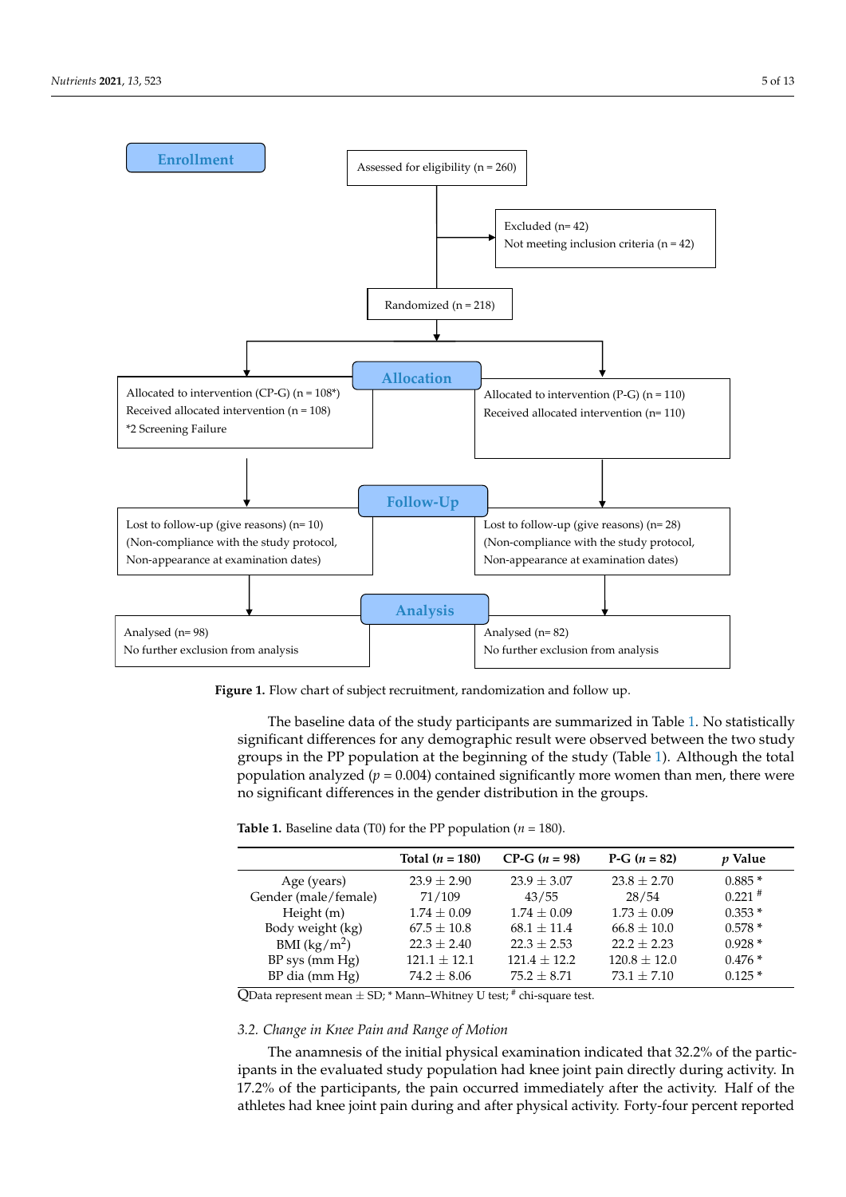<span id="page-4-0"></span>

**Figure 1.** Flow chart of subject recruitment, randomization and follow up. **Figure 1.** Flow chart of subject recruitment, randomization and follow up.

The baseline data of the study participants are summarized in Table 1. No statistically significant differences for any demographic result were observed between the two study groups in the PP population at the beginning of the study (Table 1). Although the total population analyzed (*p* = 0.004) contained significantly more women than men, there were population analyzed (*p* = 0.004) contained significantly more women than men, there were no significant differences in the gender distribution in the groups. no significant differences in the gender distribution in the groups. The baseline data of the study participants are summarized in Table [1.](#page-4-1) No statistically<br>significant differences for any demographic result were observed between the two study<br>groups in the PP population at the beginning of

|                      | Total $(n = 180)$ | $CP-G (n = 98)$ | P-G $(n = 82)$  | <i>p</i> Value |
|----------------------|-------------------|-----------------|-----------------|----------------|
| Age (years)          | $23.9 \pm 2.90$   | $23.9 \pm 3.07$ | $23.8 \pm 2.70$ | $0.885*$       |
| Gender (male/female) | 71/109            | 43/55           | 28/54           | $0.221$ #      |
| Height (m)           | $1.74 \pm 0.09$   | $1.74 + 0.09$   | $1.73 + 0.09$   | $0.353*$       |
| Body weight (kg)     | $67.5 \pm 10.8$   | $68.1 + 11.4$   | $66.8 \pm 10.0$ | $0.578*$       |
| BMI $(kg/m^2)$       | $22.3 \pm 2.40$   | $22.3 + 2.53$   | $22.2 + 2.23$   | $0.928*$       |
| $BP$ sys (mm $Hg$ )  | $121.1 + 12.1$    | $121.4 + 12.2$  | $120.8 + 12.0$  | $0.476*$       |
| $BP$ dia (mm $Hg$ )  | $74.2 \pm 8.06$   | $75.2 + 8.71$   | $73.1 + 7.10$   | $0.125*$       |
|                      |                   |                 |                 |                |

<span id="page-4-1"></span>**Table 1.** Baseline data (T0) for the PP population ( $n = 180$ ).

 $\mathop{\mathrm{QData}}$  represent mean  $\pm$  SD;  $^*$  Mann–Whitney U test;  $^*$  chi-square test.

# *3.2. Change in Knee Pain and Range of Motion*

The anamnesis of the initial physical examination indicated that 32.2% of the participants in the evaluated study population had knee joint pain directly during activity. In 17.2% of the participants, the pain occurred immediately after the activity. Half of the athletes had knee joint pain during and after physical activity. Forty-four percent reported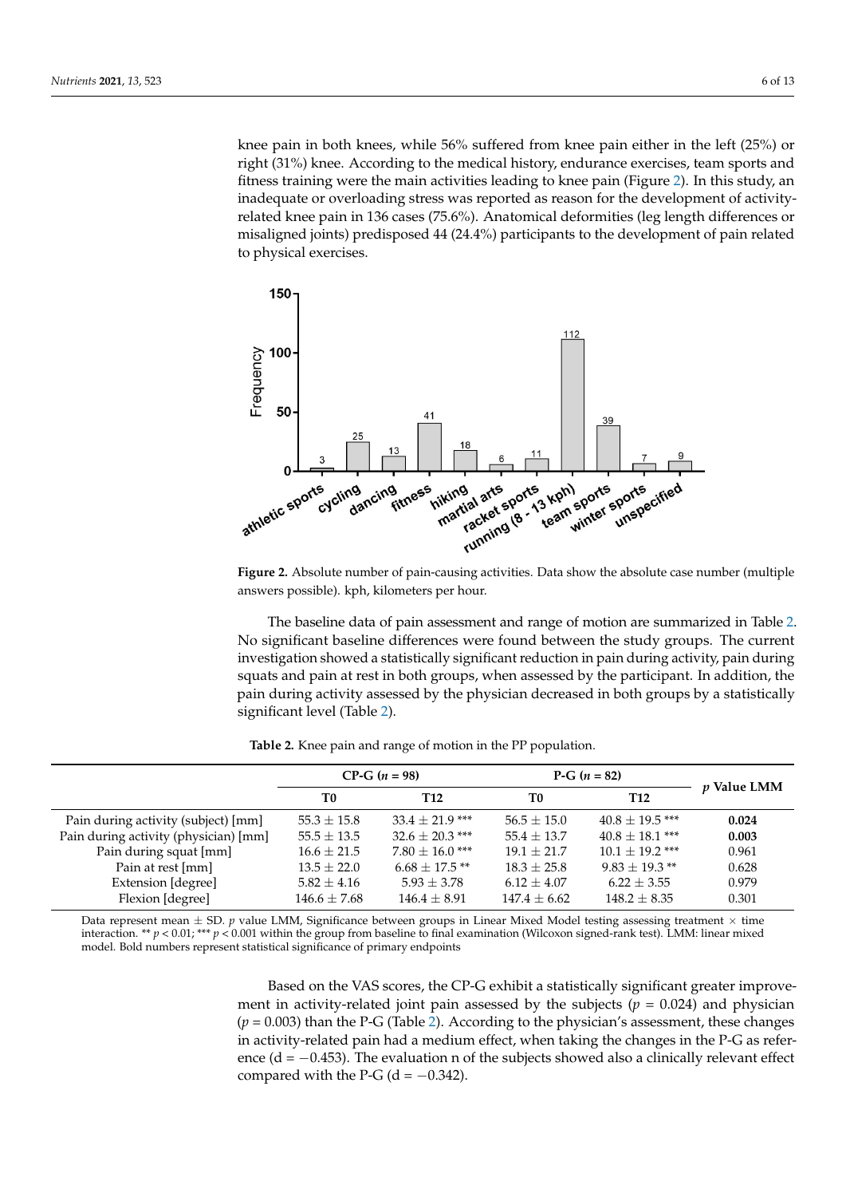knee pain in both knees, while  $56\%$  suffered from knee pain either in the left  $(25\%)$  or right (31%) knee. According to the medical history, endurance exercises, team sports and fitness training were the main activities leading to knee pain (Figure [2\)](#page-5-0). In this study, an inadequate or overloading stress was reported as reason for the development of activityrelated knee pain in 136 cases (75.6%). Anatomical deformities (leg length differences or misaligned joints) predisposed 44 (24.4%) participants to the development of pain related to physical exercises. physical exercises.

<span id="page-5-0"></span>

**Figure 2.** Absolute number of pain-causing activities. Data show the absolute case number (multiple answers possible). kph, kilometers per hour.

The baseline data of pain assessment and range of motion are summarized in Table [2.](#page-5-1) 2. No significant baseline differences were found between the study groups. The current No significant baseline differences were found between the study groups. The current investigation showed a statistically significant reduction in pain during activity, pain during ing squats and pain at rest in both groups, when assessed by the participant. In addition, squats and pain at rest in both groups, when assessed by the participant. In addition, the pain during activity assessed by the physician decreased in both groups by a statistically significant level ([Tab](#page-5-1)le 2).

<span id="page-5-1"></span> $CP-G$  ( $n = 98$ )  $P-G$  ( $n = 82$ ) *p* **Value LMM T0 T12 T0 T12** Pain during activity (subject) [mm] 55.3 ± 15.8 33.4 ± 21.9 \*\*\* 56.5 ± 15.0 40.8 ± 19.5 \*\*\* **0.024**<br>Pain during activity (physician) [mm] 55.5 ± 13.5 32.6 ± 20.3 \*\*\* 55.4 ± 13.7 40.8 ± 18.1 \*\*\* **0.003** Pain during activity (physician) [mm] 55.5 ± 13.5 32.6 ± 20.3 \*\*\* 55.4 ± 13.7 40.8 ± 18.1 \*\*\* **0.003** Pain during squat [mm]  $16.6 \pm 21.5$   $7.80 \pm 16.0$  \*\*\*  $19.1 \pm 21.7$   $10.1 \pm 19.2$  \*\*\*  $0.961$ Pain at rest [mm]  $13.5 \pm 22.0$   $6.68 \pm 17.5$  \*\*  $18.3 \pm 25.8$   $9.83 \pm 19.3$  \*\*  $0.628$ <br>Extension Idegreel  $5.82 \pm 4.16$   $5.93 \pm 3.78$   $6.12 \pm 4.07$   $6.22 \pm 3.55$   $0.979$ Extension [degree]  $5.82 \pm 4.16$   $5.93 \pm 3.78$   $6.12 \pm 4.07$   $6.22 \pm 3.55$ Flexion [degree] 146.6  $\pm$  7.68 146.4  $\pm$  8.91 147.4  $\pm$  6.62 148.2  $\pm$  8.35 0.301

**Table 2.** Knee pain and range of motion in the PP population.

Data represent mean  $\pm$  SD.  $p$  value LMM, Significance between groups in Linear Mixed Model testing assessing treatment  $\times$  time interaction. \*\*  $p < 0.01$ ; \*\*\*  $p < 0.001$  within the group from baseline to final examination (Wilcoxon signed-rank test). LMM: linear mixed model. Bold numbers represent statistical significance of primary endpoints

> Based on the VAS scores, the CP-G exhibit a statistically significant greater improvement in activity-related joint pain assessed by the subjects  $(p = 0.024)$  and physician  $(p = 0.003)$  than the P-G (Table [2\)](#page-5-1). According to the physician's assessment, these changes in activity-related pain had a medium effect, when taking the changes in the P-G as reference ( $d = -0.453$ ). The evaluation n of the subjects showed also a clinically relevant effect compared with the P-G ( $d = -0.342$ ).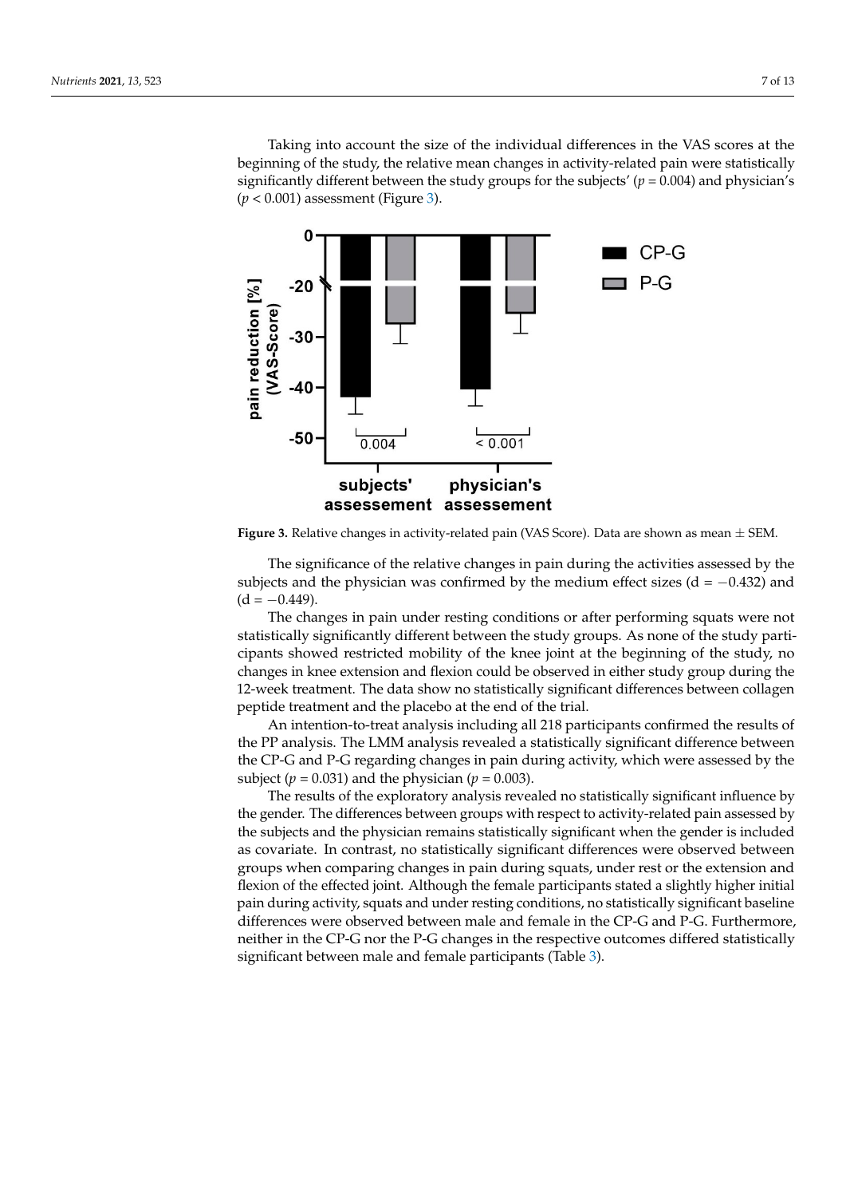Taking into account the size of the individual differences in the VAS scores at the beginning of the study, the relative mean changes in activity-related pain were statistically significantly different between the study groups for the subjects' ( $p = 0.004$ ) and physician's  $(p < 0.001)$  assessment (Figure [3\)](#page-6-0).

<span id="page-6-0"></span>

pared with the P-G (d = 0.342). The P-G (d = 0.342). The P-G (d = 0.342). The P-G (d = 0.342). The P-G (d = 0.3

Figure 3. Relative changes in activity-related pain (VAS Score). Data are shown as mean  $\pm$  SEM.

subjects and the physician was confirmed by the medium effect sizes (d =  $-0.432$ ) and  $\alpha = -0.449$ ). The significance of the relative changes in pain during the activities assessed by the  $(d = -0.449)$ .

Fire changes in pain under resung conditions or arter performing squares were not statistically significantly different between the study groups. As none of the study partipains showed restricted mobility of the knee joint at the beginning of the study, no<br>cipants showed restricted mobility of the knee joint at the beginning of the study, no changes in knee extension and flexion could be observed in either study group during the 12-week treatment. The data show no statistically significant differences between collagen peptide treatment and the placebo at the end of the trial. The changes in pain under resting conditions or after performing squats were not

An intention-to-treat analysis including all 218 participants confirmed the results of the PP analysis. The LMM analysis revealed a statistically significant difference between the CP-G and P-G regarding changes in pain during activity, which were assessed by the subject ( $p = 0.031$ ) and the physician ( $p = 0.003$ ).

Subject  $(p = 0.051)$  and the priysician  $(p = 0.005)$ .<br>The results of the exploratory analysis revealed no statistically significant influence by the gender. The differences between groups with respect to activity-related pain assessed by the subjects and the physician remains statistically significant when the gender is included as covariate. In contrast, no statistically significant differences were observed between groups when comparing changes in pain during squats, under rest or the extension and flexion of the effected joint. Although the female participants stated a slightly higher initial pain during activity, squats and under resting conditions, no statistically significant baseline differences were observed between male and female in the CP-G and P-G. Furthermore, neither in the CP-G nor the P-G changes in the respective outcomes differed statistically significant between male and female participants (Table [3\)](#page-7-0).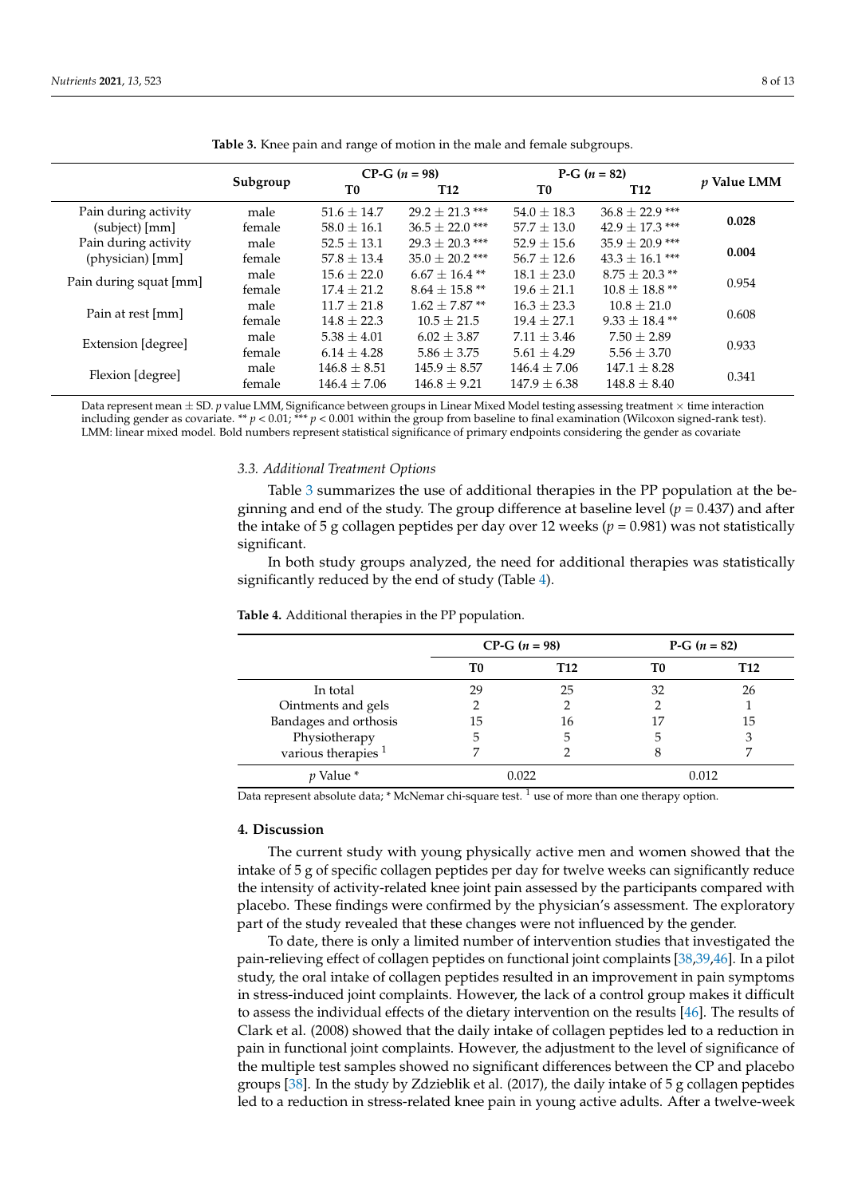<span id="page-7-0"></span>

|                        |          | $CP-G (n = 98)$  |                     | P-G $(n = 82)$  |                           | <i>p</i> Value LMM |
|------------------------|----------|------------------|---------------------|-----------------|---------------------------|--------------------|
|                        | Subgroup | T0               | <b>T12</b>          | T0              | T <sub>12</sub>           |                    |
| Pain during activity   | male     | $51.6 \pm 14.7$  | $29.2 + 21.3$ ***   | $54.0 \pm 18.3$ | $36.8 \pm 22.9$ ***       |                    |
| (subject) [mm]         | female   | $58.0 \pm 16.1$  | $36.5 + 22.0$ ***   | $57.7 \pm 13.0$ | $42.9 \pm 17.3$ ***       | 0.028              |
| Pain during activity   | male     | $52.5 + 13.1$    | $29.3 \pm 20.3$ *** | $52.9 + 15.6$   | $35.9 + 20.9$ ***         |                    |
| (physician) [mm]       | female   | $57.8 + 13.4$    | $35.0 \pm 20.2$ *** | $56.7 + 12.6$   | $43.3 + 16.1$ ***         | 0.004              |
|                        | male     | $15.6 + 22.0$    | $6.67 \pm 16.4$ **  | $18.1 + 23.0$   | $8.75 + 20.3$ **          |                    |
| Pain during squat [mm] | female   | $17.4 + 21.2$    | $8.64 + 15.8$ **    | $19.6 + 21.1$   | $10.8 + 18.8$ **          | 0.954              |
| Pain at rest [mm]      | male     | $11.7 + 21.8$    | $1.62 + 7.87$ **    | $16.3 + 23.3$   | $10.8 + 21.0$             |                    |
|                        | female   | $14.8 + 22.3$    | $10.5 + 21.5$       | $19.4 + 27.1$   | 0.608<br>$9.33 + 18.4$ ** |                    |
| Extension [degree]     | male     | $5.38 \pm 4.01$  | $6.02 \pm 3.87$     | $7.11 \pm 3.46$ | $7.50 \pm 2.89$           |                    |
|                        | female   | $6.14 \pm 4.28$  | $5.86 \pm 3.75$     | $5.61 \pm 4.29$ | $5.56 \pm 3.70$           | 0.933              |
| Flexion [degree]       | male     | $146.8 \pm 8.51$ | $145.9 \pm 8.57$    | $146.4 + 7.06$  | $147.1 + 8.28$            | 0.341              |
|                        | female   | $146.4 + 7.06$   | $146.8 + 9.21$      | $147.9 + 6.38$  | $148.8 + 8.40$            |                    |

**Table 3.** Knee pain and range of motion in the male and female subgroups.

Data represent mean  $\pm$  SD.  $p$  value LMM, Significance between groups in Linear Mixed Model testing assessing treatment  $\times$  time interaction including gender as covariate. \*\* *p* < 0.01; \*\*\* *p* < 0.001 within the group from baseline to final examination (Wilcoxon signed-rank test). LMM: linear mixed model. Bold numbers represent statistical significance of primary endpoints considering the gender as covariate

#### *3.3. Additional Treatment Options*

Table [3](#page-7-0) summarizes the use of additional therapies in the PP population at the beginning and end of the study. The group difference at baseline level (*p* = 0.437) and after the intake of 5 g collagen peptides per day over 12 weeks ( $p = 0.981$ ) was not statistically significant.

In both study groups analyzed, the need for additional therapies was statistically significantly reduced by the end of study (Table [4\)](#page-7-1).

|                                | $CP-G (n = 98)$                                                                                                                                                                                                                            |                                                                                                                 | P-G $(n = 82)$                                             |     |
|--------------------------------|--------------------------------------------------------------------------------------------------------------------------------------------------------------------------------------------------------------------------------------------|-----------------------------------------------------------------------------------------------------------------|------------------------------------------------------------|-----|
|                                | T0                                                                                                                                                                                                                                         | T <sub>12</sub>                                                                                                 | T0                                                         | T12 |
| In total                       | 29                                                                                                                                                                                                                                         | 25                                                                                                              | 32                                                         | 26  |
| Ointments and gels             |                                                                                                                                                                                                                                            |                                                                                                                 |                                                            |     |
| Bandages and orthosis          | 15                                                                                                                                                                                                                                         | 16                                                                                                              | 17                                                         | 15  |
| Physiotherapy                  | 5                                                                                                                                                                                                                                          | 5                                                                                                               |                                                            | 3   |
| various therapies <sup>1</sup> |                                                                                                                                                                                                                                            |                                                                                                                 |                                                            |     |
| <i>v</i> Value *               | 0.022                                                                                                                                                                                                                                      |                                                                                                                 | 0.012                                                      |     |
|                                | and the contract of the contract of the contract of the contract of the contract of the contract of the contract of the contract of the contract of the contract of the contract of the contract of the contract of the contra<br>$\cdots$ | the contract of the contract of the contract of the contract of the contract of the contract of the contract of | $\sim$ 1.000 $\sim$ 1.000 $\sim$ 1.000 $\sim$<br>$\cdot$ . |     |

<span id="page-7-1"></span>**Table 4.** Additional therapies in the PP population.

Data represent absolute data;  $*$  McNemar chi-square test.  $\frac{1}{1}$  use of more than one therapy option.

### **4. Discussion**

The current study with young physically active men and women showed that the intake of 5 g of specific collagen peptides per day for twelve weeks can significantly reduce the intensity of activity-related knee joint pain assessed by the participants compared with placebo. These findings were confirmed by the physician's assessment. The exploratory part of the study revealed that these changes were not influenced by the gender.

To date, there is only a limited number of intervention studies that investigated the pain-relieving effect of collagen peptides on functional joint complaints [\[38,](#page-11-3)[39](#page-11-4)[,46\]](#page-11-11). In a pilot study, the oral intake of collagen peptides resulted in an improvement in pain symptoms in stress-induced joint complaints. However, the lack of a control group makes it difficult to assess the individual effects of the dietary intervention on the results [\[46\]](#page-11-11). The results of Clark et al. (2008) showed that the daily intake of collagen peptides led to a reduction in pain in functional joint complaints. However, the adjustment to the level of significance of the multiple test samples showed no significant differences between the CP and placebo groups [\[38\]](#page-11-3). In the study by Zdzieblik et al. (2017), the daily intake of 5 g collagen peptides led to a reduction in stress-related knee pain in young active adults. After a twelve-week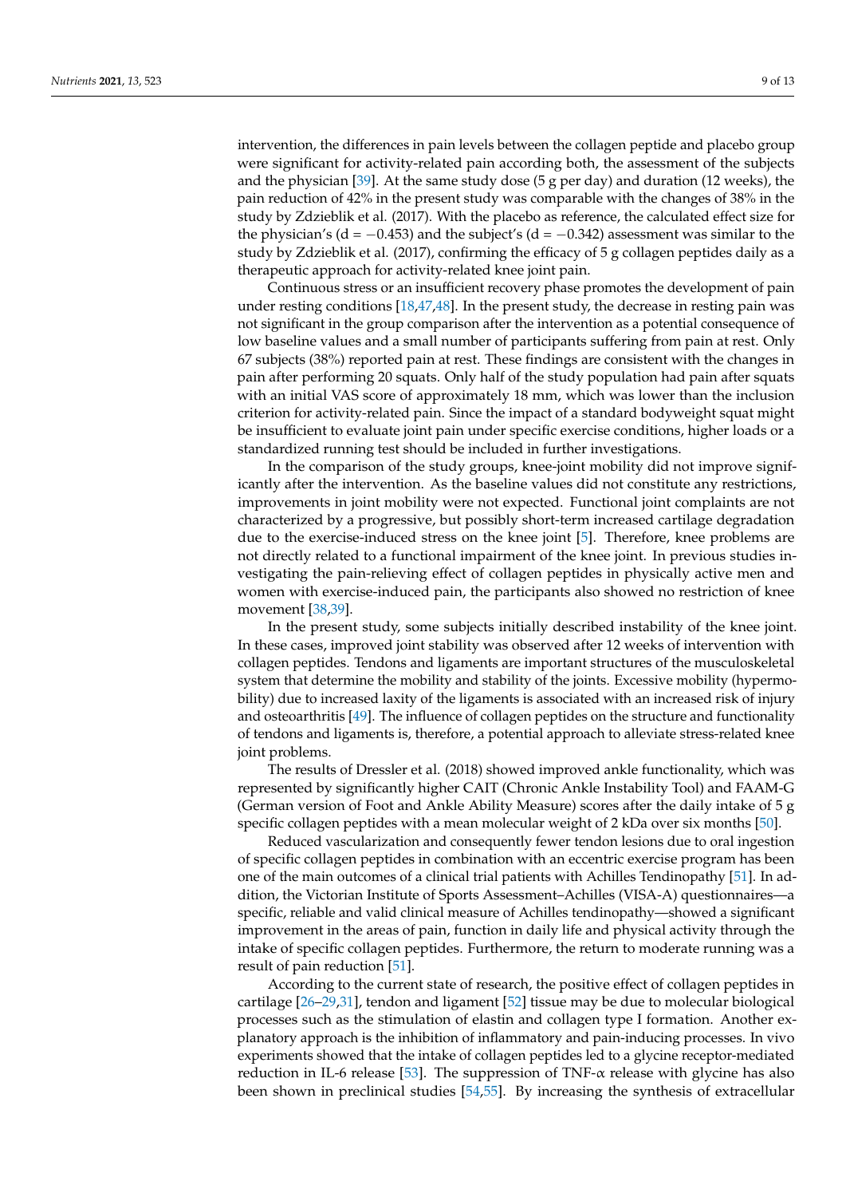intervention, the differences in pain levels between the collagen peptide and placebo group were significant for activity-related pain according both, the assessment of the subjects and the physician [\[39\]](#page-11-4). At the same study dose (5 g per day) and duration (12 weeks), the pain reduction of 42% in the present study was comparable with the changes of 38% in the study by Zdzieblik et al. (2017). With the placebo as reference, the calculated effect size for the physician's (d =  $-0.453$ ) and the subject's (d =  $-0.342$ ) assessment was similar to the study by Zdzieblik et al. (2017), confirming the efficacy of 5 g collagen peptides daily as a therapeutic approach for activity-related knee joint pain.

Continuous stress or an insufficient recovery phase promotes the development of pain under resting conditions [\[18](#page-10-13)[,47](#page-11-12)[,48\]](#page-11-13). In the present study, the decrease in resting pain was not significant in the group comparison after the intervention as a potential consequence of low baseline values and a small number of participants suffering from pain at rest. Only 67 subjects (38%) reported pain at rest. These findings are consistent with the changes in pain after performing 20 squats. Only half of the study population had pain after squats with an initial VAS score of approximately 18 mm, which was lower than the inclusion criterion for activity-related pain. Since the impact of a standard bodyweight squat might be insufficient to evaluate joint pain under specific exercise conditions, higher loads or a standardized running test should be included in further investigations.

In the comparison of the study groups, knee-joint mobility did not improve significantly after the intervention. As the baseline values did not constitute any restrictions, improvements in joint mobility were not expected. Functional joint complaints are not characterized by a progressive, but possibly short-term increased cartilage degradation due to the exercise-induced stress on the knee joint [\[5\]](#page-10-3). Therefore, knee problems are not directly related to a functional impairment of the knee joint. In previous studies investigating the pain-relieving effect of collagen peptides in physically active men and women with exercise-induced pain, the participants also showed no restriction of knee movement [\[38](#page-11-3)[,39\]](#page-11-4).

In the present study, some subjects initially described instability of the knee joint. In these cases, improved joint stability was observed after 12 weeks of intervention with collagen peptides. Tendons and ligaments are important structures of the musculoskeletal system that determine the mobility and stability of the joints. Excessive mobility (hypermobility) due to increased laxity of the ligaments is associated with an increased risk of injury and osteoarthritis [\[49\]](#page-11-14). The influence of collagen peptides on the structure and functionality of tendons and ligaments is, therefore, a potential approach to alleviate stress-related knee joint problems.

The results of Dressler et al. (2018) showed improved ankle functionality, which was represented by significantly higher CAIT (Chronic Ankle Instability Tool) and FAAM-G (German version of Foot and Ankle Ability Measure) scores after the daily intake of 5 g specific collagen peptides with a mean molecular weight of 2 kDa over six months [\[50\]](#page-11-15).

Reduced vascularization and consequently fewer tendon lesions due to oral ingestion of specific collagen peptides in combination with an eccentric exercise program has been one of the main outcomes of a clinical trial patients with Achilles Tendinopathy [\[51\]](#page-11-16). In addition, the Victorian Institute of Sports Assessment–Achilles (VISA-A) questionnaires—a specific, reliable and valid clinical measure of Achilles tendinopathy—showed a significant improvement in the areas of pain, function in daily life and physical activity through the intake of specific collagen peptides. Furthermore, the return to moderate running was a result of pain reduction [\[51\]](#page-11-16).

According to the current state of research, the positive effect of collagen peptides in cartilage [\[26–](#page-10-18)[29,](#page-11-17)[31\]](#page-11-1), tendon and ligament [\[52\]](#page-11-18) tissue may be due to molecular biological processes such as the stimulation of elastin and collagen type I formation. Another explanatory approach is the inhibition of inflammatory and pain-inducing processes. In vivo experiments showed that the intake of collagen peptides led to a glycine receptor-mediated reduction in IL-6 release [\[53\]](#page-12-0). The suppression of TNF- $\alpha$  release with glycine has also been shown in preclinical studies [\[54](#page-12-1)[,55\]](#page-12-2). By increasing the synthesis of extracellular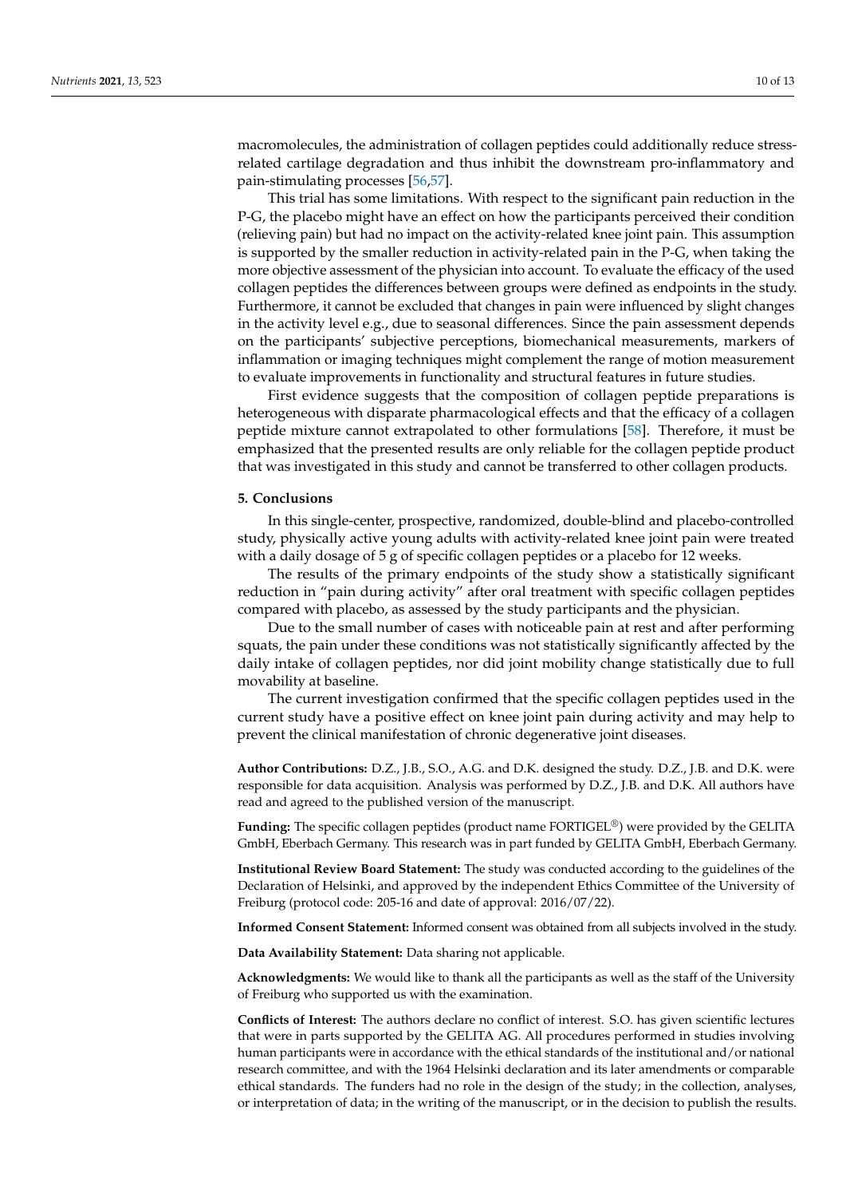macromolecules, the administration of collagen peptides could additionally reduce stressrelated cartilage degradation and thus inhibit the downstream pro-inflammatory and pain-stimulating processes [\[56,](#page-12-3)[57\]](#page-12-4).

This trial has some limitations. With respect to the significant pain reduction in the P-G, the placebo might have an effect on how the participants perceived their condition (relieving pain) but had no impact on the activity-related knee joint pain. This assumption is supported by the smaller reduction in activity-related pain in the P-G, when taking the more objective assessment of the physician into account. To evaluate the efficacy of the used collagen peptides the differences between groups were defined as endpoints in the study. Furthermore, it cannot be excluded that changes in pain were influenced by slight changes in the activity level e.g., due to seasonal differences. Since the pain assessment depends on the participants' subjective perceptions, biomechanical measurements, markers of inflammation or imaging techniques might complement the range of motion measurement to evaluate improvements in functionality and structural features in future studies.

First evidence suggests that the composition of collagen peptide preparations is heterogeneous with disparate pharmacological effects and that the efficacy of a collagen peptide mixture cannot extrapolated to other formulations [\[58\]](#page-12-5). Therefore, it must be emphasized that the presented results are only reliable for the collagen peptide product that was investigated in this study and cannot be transferred to other collagen products.

### **5. Conclusions**

In this single-center, prospective, randomized, double-blind and placebo-controlled study, physically active young adults with activity-related knee joint pain were treated with a daily dosage of 5 g of specific collagen peptides or a placebo for 12 weeks.

The results of the primary endpoints of the study show a statistically significant reduction in "pain during activity" after oral treatment with specific collagen peptides compared with placebo, as assessed by the study participants and the physician.

Due to the small number of cases with noticeable pain at rest and after performing squats, the pain under these conditions was not statistically significantly affected by the daily intake of collagen peptides, nor did joint mobility change statistically due to full movability at baseline.

The current investigation confirmed that the specific collagen peptides used in the current study have a positive effect on knee joint pain during activity and may help to prevent the clinical manifestation of chronic degenerative joint diseases.

**Author Contributions:** D.Z., J.B., S.O., A.G. and D.K. designed the study. D.Z., J.B. and D.K. were responsible for data acquisition. Analysis was performed by D.Z., J.B. and D.K. All authors have read and agreed to the published version of the manuscript.

**Funding:** The specific collagen peptides (product name FORTIGEL®) were provided by the GELITA GmbH, Eberbach Germany. This research was in part funded by GELITA GmbH, Eberbach Germany.

**Institutional Review Board Statement:** The study was conducted according to the guidelines of the Declaration of Helsinki, and approved by the independent Ethics Committee of the University of Freiburg (protocol code: 205-16 and date of approval: 2016/07/22).

**Informed Consent Statement:** Informed consent was obtained from all subjects involved in the study.

**Data Availability Statement:** Data sharing not applicable.

**Acknowledgments:** We would like to thank all the participants as well as the staff of the University of Freiburg who supported us with the examination.

**Conflicts of Interest:** The authors declare no conflict of interest. S.O. has given scientific lectures that were in parts supported by the GELITA AG. All procedures performed in studies involving human participants were in accordance with the ethical standards of the institutional and/or national research committee, and with the 1964 Helsinki declaration and its later amendments or comparable ethical standards. The funders had no role in the design of the study; in the collection, analyses, or interpretation of data; in the writing of the manuscript, or in the decision to publish the results.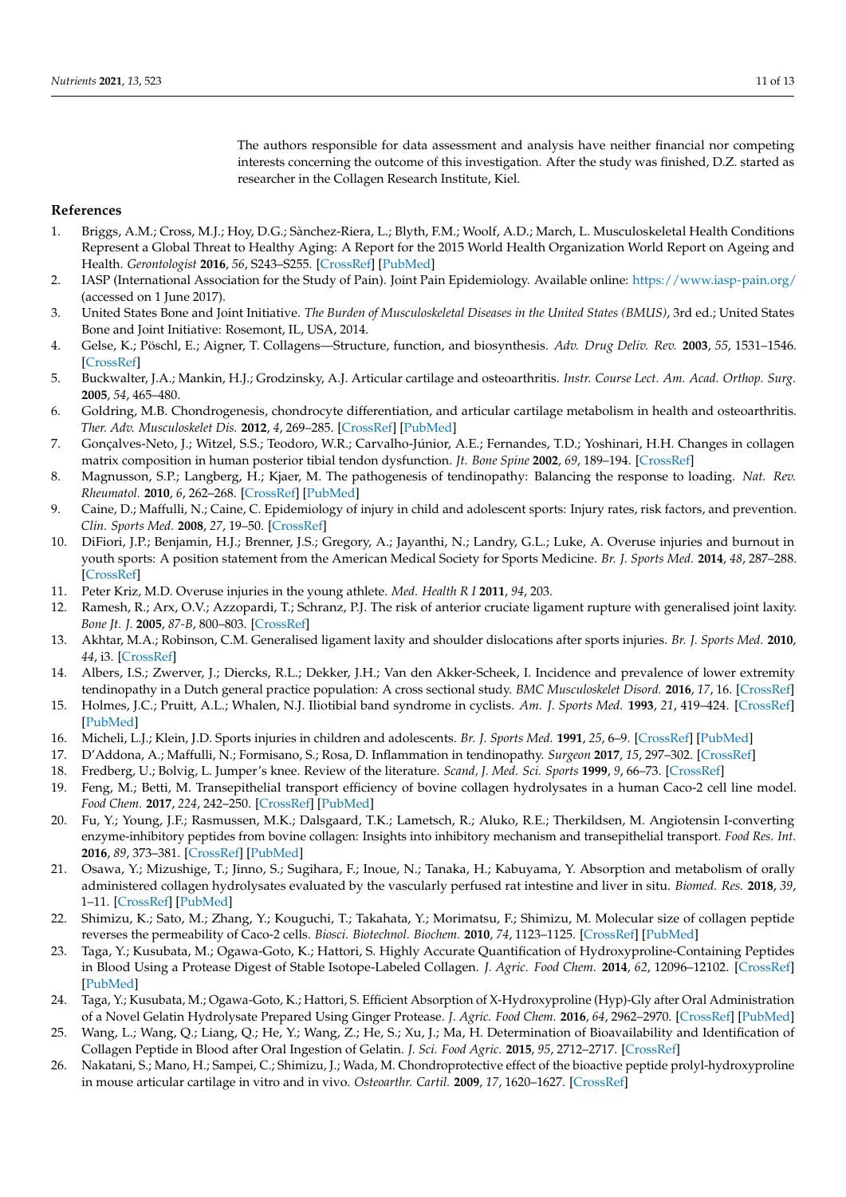The authors responsible for data assessment and analysis have neither financial nor competing interests concerning the outcome of this investigation. After the study was finished, D.Z. started as researcher in the Collagen Research Institute, Kiel.

### **References**

- <span id="page-10-0"></span>1. Briggs, A.M.; Cross, M.J.; Hoy, D.G.; Sànchez-Riera, L.; Blyth, F.M.; Woolf, A.D.; March, L. Musculoskeletal Health Conditions Represent a Global Threat to Healthy Aging: A Report for the 2015 World Health Organization World Report on Ageing and Health. *Gerontologist* **2016**, *56*, S243–S255. [\[CrossRef\]](http://doi.org/10.1093/geront/gnw002) [\[PubMed\]](http://www.ncbi.nlm.nih.gov/pubmed/26994264)
- 2. IASP (International Association for the Study of Pain). Joint Pain Epidemiology. Available online: <https://www.iasp-pain.org/> (accessed on 1 June 2017).
- <span id="page-10-1"></span>3. United States Bone and Joint Initiative. *The Burden of Musculoskeletal Diseases in the United States (BMUS)*, 3rd ed.; United States Bone and Joint Initiative: Rosemont, IL, USA, 2014.
- <span id="page-10-2"></span>4. Gelse, K.; Pöschl, E.; Aigner, T. Collagens—Structure, function, and biosynthesis. *Adv. Drug Deliv. Rev.* **2003**, *55*, 1531–1546. [\[CrossRef\]](http://doi.org/10.1016/j.addr.2003.08.002)
- <span id="page-10-3"></span>5. Buckwalter, J.A.; Mankin, H.J.; Grodzinsky, A.J. Articular cartilage and osteoarthritis. *Instr. Course Lect. Am. Acad. Orthop. Surg.* **2005**, *54*, 465–480.
- 6. Goldring, M.B. Chondrogenesis, chondrocyte differentiation, and articular cartilage metabolism in health and osteoarthritis. *Ther. Adv. Musculoskelet Dis.* **2012**, *4*, 269–285. [\[CrossRef\]](http://doi.org/10.1177/1759720X12448454) [\[PubMed\]](http://www.ncbi.nlm.nih.gov/pubmed/22859926)
- 7. Gonçalves-Neto, J.; Witzel, S.S.; Teodoro, W.R.; Carvalho-Júnior, A.E.; Fernandes, T.D.; Yoshinari, H.H. Changes in collagen matrix composition in human posterior tibial tendon dysfunction. *Jt. Bone Spine* **2002**, *69*, 189–194. [\[CrossRef\]](http://doi.org/10.1016/S1297-319X(02)00369-X)
- <span id="page-10-4"></span>8. Magnusson, S.P.; Langberg, H.; Kjaer, M. The pathogenesis of tendinopathy: Balancing the response to loading. *Nat. Rev. Rheumatol.* **2010**, *6*, 262–268. [\[CrossRef\]](http://doi.org/10.1038/nrrheum.2010.43) [\[PubMed\]](http://www.ncbi.nlm.nih.gov/pubmed/20308995)
- <span id="page-10-5"></span>9. Caine, D.; Maffulli, N.; Caine, C. Epidemiology of injury in child and adolescent sports: Injury rates, risk factors, and prevention. *Clin. Sports Med.* **2008**, *27*, 19–50. [\[CrossRef\]](http://doi.org/10.1016/j.csm.2007.10.008)
- <span id="page-10-9"></span>10. DiFiori, J.P.; Benjamin, H.J.; Brenner, J.S.; Gregory, A.; Jayanthi, N.; Landry, G.L.; Luke, A. Overuse injuries and burnout in youth sports: A position statement from the American Medical Society for Sports Medicine. *Br. J. Sports Med.* **2014**, *48*, 287–288. [\[CrossRef\]](http://doi.org/10.1136/bjsports-2013-093299)
- <span id="page-10-6"></span>11. Peter Kriz, M.D. Overuse injuries in the young athlete. *Med. Health R I* **2011**, *94*, 203.
- <span id="page-10-7"></span>12. Ramesh, R.; Arx, O.V.; Azzopardi, T.; Schranz, P.J. The risk of anterior cruciate ligament rupture with generalised joint laxity. *Bone Jt. J.* **2005**, *87-B*, 800–803. [\[CrossRef\]](http://doi.org/10.1302/0301-620X.87B6.15833)
- <span id="page-10-8"></span>13. Akhtar, M.A.; Robinson, C.M. Generalised ligament laxity and shoulder dislocations after sports injuries. *Br. J. Sports Med.* **2010**, *44*, i3. [\[CrossRef\]](http://doi.org/10.1136/bjsm.2010.078972.9)
- <span id="page-10-10"></span>14. Albers, I.S.; Zwerver, J.; Diercks, R.L.; Dekker, J.H.; Van den Akker-Scheek, I. Incidence and prevalence of lower extremity tendinopathy in a Dutch general practice population: A cross sectional study. *BMC Musculoskelet Disord.* **2016**, *17*, 16. [\[CrossRef\]](http://doi.org/10.1186/s12891-016-0885-2)
- 15. Holmes, J.C.; Pruitt, A.L.; Whalen, N.J. Iliotibial band syndrome in cyclists. *Am. J. Sports Med.* **1993**, *21*, 419–424. [\[CrossRef\]](http://doi.org/10.1177/036354659302100316) [\[PubMed\]](http://www.ncbi.nlm.nih.gov/pubmed/8166785)
- <span id="page-10-11"></span>16. Micheli, L.J.; Klein, J.D. Sports injuries in children and adolescents. *Br. J. Sports Med.* **1991**, *25*, 6–9. [\[CrossRef\]](http://doi.org/10.1136/bjsm.25.1.6) [\[PubMed\]](http://www.ncbi.nlm.nih.gov/pubmed/1913035)
- <span id="page-10-12"></span>17. D'Addona, A.; Maffulli, N.; Formisano, S.; Rosa, D. Inflammation in tendinopathy. *Surgeon* **2017**, *15*, 297–302. [\[CrossRef\]](http://doi.org/10.1016/j.surge.2017.04.004)
- <span id="page-10-13"></span>18. Fredberg, U.; Bolvig, L. Jumper's knee. Review of the literature. *Scand, J. Med. Sci. Sports* **1999**, *9*, 66–73. [\[CrossRef\]](http://doi.org/10.1111/j.1600-0838.1999.tb00211.x)
- <span id="page-10-14"></span>19. Feng, M.; Betti, M. Transepithelial transport efficiency of bovine collagen hydrolysates in a human Caco-2 cell line model. *Food Chem.* **2017**, *224*, 242–250. [\[CrossRef\]](http://doi.org/10.1016/j.foodchem.2016.12.044) [\[PubMed\]](http://www.ncbi.nlm.nih.gov/pubmed/28159262)
- 20. Fu, Y.; Young, J.F.; Rasmussen, M.K.; Dalsgaard, T.K.; Lametsch, R.; Aluko, R.E.; Therkildsen, M. Angiotensin I-converting enzyme-inhibitory peptides from bovine collagen: Insights into inhibitory mechanism and transepithelial transport. *Food Res. Int.* **2016**, *89*, 373–381. [\[CrossRef\]](http://doi.org/10.1016/j.foodres.2016.08.037) [\[PubMed\]](http://www.ncbi.nlm.nih.gov/pubmed/28460927)
- 21. Osawa, Y.; Mizushige, T.; Jinno, S.; Sugihara, F.; Inoue, N.; Tanaka, H.; Kabuyama, Y. Absorption and metabolism of orally administered collagen hydrolysates evaluated by the vascularly perfused rat intestine and liver in situ. *Biomed. Res.* **2018**, *39*, 1–11. [\[CrossRef\]](http://doi.org/10.2220/biomedres.39.1) [\[PubMed\]](http://www.ncbi.nlm.nih.gov/pubmed/29467346)
- <span id="page-10-15"></span>22. Shimizu, K.; Sato, M.; Zhang, Y.; Kouguchi, T.; Takahata, Y.; Morimatsu, F.; Shimizu, M. Molecular size of collagen peptide reverses the permeability of Caco-2 cells. *Biosci. Biotechnol. Biochem.* **2010**, *74*, 1123–1125. [\[CrossRef\]](http://doi.org/10.1271/bbb.100015) [\[PubMed\]](http://www.ncbi.nlm.nih.gov/pubmed/20460703)
- <span id="page-10-16"></span>23. Taga, Y.; Kusubata, M.; Ogawa-Goto, K.; Hattori, S. Highly Accurate Quantification of Hydroxyproline-Containing Peptides in Blood Using a Protease Digest of Stable Isotope-Labeled Collagen. *J. Agric. Food Chem.* **2014**, *62*, 12096–12102. [\[CrossRef\]](http://doi.org/10.1021/jf5039597) [\[PubMed\]](http://www.ncbi.nlm.nih.gov/pubmed/25417748)
- 24. Taga, Y.; Kusubata, M.; Ogawa-Goto, K.; Hattori, S. Efficient Absorption of X-Hydroxyproline (Hyp)-Gly after Oral Administration of a Novel Gelatin Hydrolysate Prepared Using Ginger Protease. *J. Agric. Food Chem.* **2016**, *64*, 2962–2970. [\[CrossRef\]](http://doi.org/10.1021/acs.jafc.6b00609) [\[PubMed\]](http://www.ncbi.nlm.nih.gov/pubmed/26978646)
- <span id="page-10-17"></span>25. Wang, L.; Wang, Q.; Liang, Q.; He, Y.; Wang, Z.; He, S.; Xu, J.; Ma, H. Determination of Bioavailability and Identification of Collagen Peptide in Blood after Oral Ingestion of Gelatin. *J. Sci. Food Agric.* **2015**, *95*, 2712–2717. [\[CrossRef\]](http://doi.org/10.1002/jsfa.7008)
- <span id="page-10-18"></span>26. Nakatani, S.; Mano, H.; Sampei, C.; Shimizu, J.; Wada, M. Chondroprotective effect of the bioactive peptide prolyl-hydroxyproline in mouse articular cartilage in vitro and in vivo. *Osteoarthr. Cartil.* **2009**, *17*, 1620–1627. [\[CrossRef\]](http://doi.org/10.1016/j.joca.2009.07.001)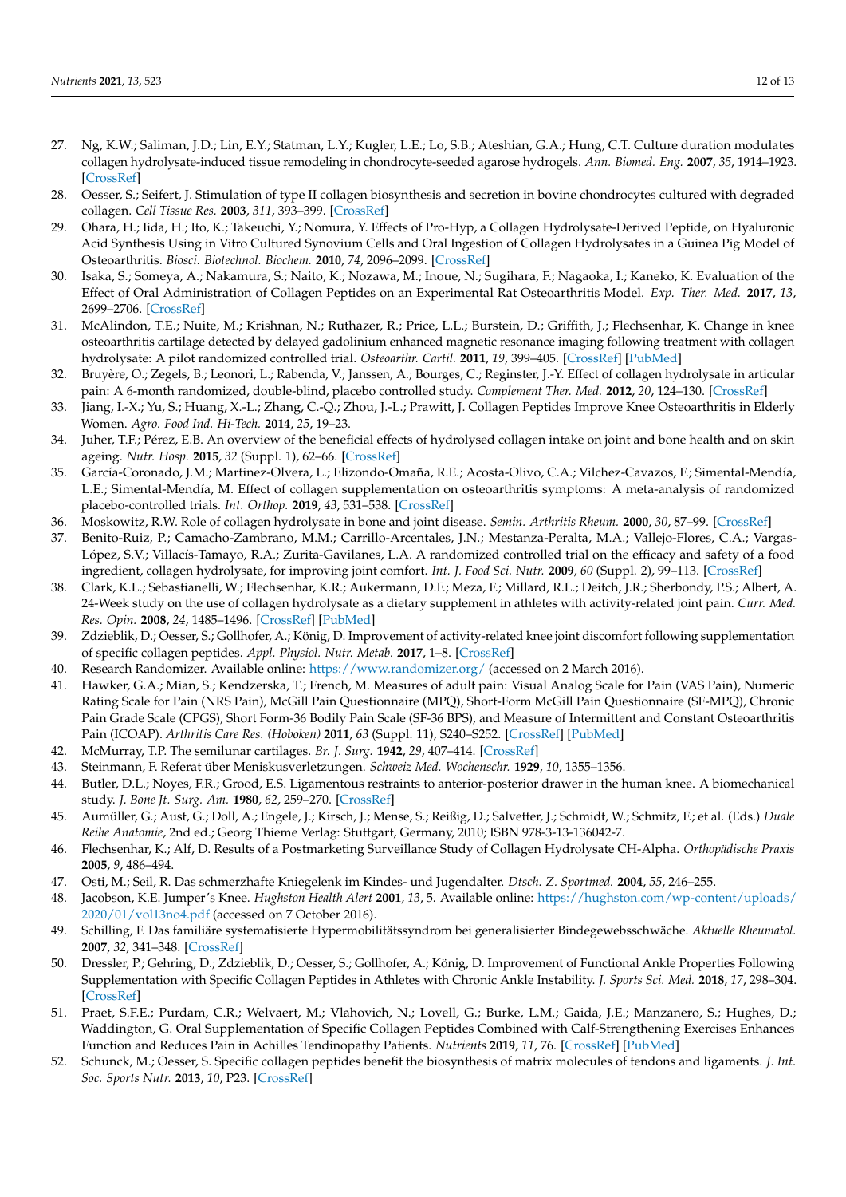- 27. Ng, K.W.; Saliman, J.D.; Lin, E.Y.; Statman, L.Y.; Kugler, L.E.; Lo, S.B.; Ateshian, G.A.; Hung, C.T. Culture duration modulates collagen hydrolysate-induced tissue remodeling in chondrocyte-seeded agarose hydrogels. *Ann. Biomed. Eng.* **2007**, *35*, 1914–1923. [\[CrossRef\]](http://doi.org/10.1007/s10439-007-9373-z)
- 28. Oesser, S.; Seifert, J. Stimulation of type II collagen biosynthesis and secretion in bovine chondrocytes cultured with degraded collagen. *Cell Tissue Res.* **2003**, *311*, 393–399. [\[CrossRef\]](http://doi.org/10.1007/s00441-003-0702-8)
- <span id="page-11-17"></span>29. Ohara, H.; Iida, H.; Ito, K.; Takeuchi, Y.; Nomura, Y. Effects of Pro-Hyp, a Collagen Hydrolysate-Derived Peptide, on Hyaluronic Acid Synthesis Using in Vitro Cultured Synovium Cells and Oral Ingestion of Collagen Hydrolysates in a Guinea Pig Model of Osteoarthritis. *Biosci. Biotechnol. Biochem.* **2010**, *74*, 2096–2099. [\[CrossRef\]](http://doi.org/10.1271/bbb.100193)
- <span id="page-11-0"></span>30. Isaka, S.; Someya, A.; Nakamura, S.; Naito, K.; Nozawa, M.; Inoue, N.; Sugihara, F.; Nagaoka, I.; Kaneko, K. Evaluation of the Effect of Oral Administration of Collagen Peptides on an Experimental Rat Osteoarthritis Model. *Exp. Ther. Med.* **2017**, *13*, 2699–2706. [\[CrossRef\]](http://doi.org/10.3892/etm.2017.4310)
- <span id="page-11-1"></span>31. McAlindon, T.E.; Nuite, M.; Krishnan, N.; Ruthazer, R.; Price, L.L.; Burstein, D.; Griffith, J.; Flechsenhar, K. Change in knee osteoarthritis cartilage detected by delayed gadolinium enhanced magnetic resonance imaging following treatment with collagen hydrolysate: A pilot randomized controlled trial. *Osteoarthr. Cartil.* **2011**, *19*, 399–405. [\[CrossRef\]](http://doi.org/10.1016/j.joca.2011.01.001) [\[PubMed\]](http://www.ncbi.nlm.nih.gov/pubmed/21251991)
- 32. Bruyère, O.; Zegels, B.; Leonori, L.; Rabenda, V.; Janssen, A.; Bourges, C.; Reginster, J.-Y. Effect of collagen hydrolysate in articular pain: A 6-month randomized, double-blind, placebo controlled study. *Complement Ther. Med.* **2012**, *20*, 124–130. [\[CrossRef\]](http://doi.org/10.1016/j.ctim.2011.12.007)
- 33. Jiang, I.-X.; Yu, S.; Huang, X.-L.; Zhang, C.-Q.; Zhou, J.-L.; Prawitt, J. Collagen Peptides Improve Knee Osteoarthritis in Elderly Women. *Agro. Food Ind. Hi-Tech.* **2014**, *25*, 19–23.
- 34. Juher, T.F.; Pérez, E.B. An overview of the beneficial effects of hydrolysed collagen intake on joint and bone health and on skin ageing. *Nutr. Hosp.* **2015**, *32* (Suppl. 1), 62–66. [\[CrossRef\]](http://doi.org/10.3305/nh.2015.32.sup1.9482)
- 35. García-Coronado, J.M.; Martínez-Olvera, L.; Elizondo-Omaña, R.E.; Acosta-Olivo, C.A.; Vilchez-Cavazos, F.; Simental-Mendía, L.E.; Simental-Mendía, M. Effect of collagen supplementation on osteoarthritis symptoms: A meta-analysis of randomized placebo-controlled trials. *Int. Orthop.* **2019**, *43*, 531–538. [\[CrossRef\]](http://doi.org/10.1007/s00264-018-4211-5)
- 36. Moskowitz, R.W. Role of collagen hydrolysate in bone and joint disease. *Semin. Arthritis Rheum.* **2000**, *30*, 87–99. [\[CrossRef\]](http://doi.org/10.1053/sarh.2000.9622)
- <span id="page-11-2"></span>37. Benito-Ruiz, P.; Camacho-Zambrano, M.M.; Carrillo-Arcentales, J.N.; Mestanza-Peralta, M.A.; Vallejo-Flores, C.A.; Vargas-López, S.V.; Villacís-Tamayo, R.A.; Zurita-Gavilanes, L.A. A randomized controlled trial on the efficacy and safety of a food ingredient, collagen hydrolysate, for improving joint comfort. *Int. J. Food Sci. Nutr.* **2009**, *60* (Suppl. 2), 99–113. [\[CrossRef\]](http://doi.org/10.1080/09637480802498820)
- <span id="page-11-3"></span>38. Clark, K.L.; Sebastianelli, W.; Flechsenhar, K.R.; Aukermann, D.F.; Meza, F.; Millard, R.L.; Deitch, J.R.; Sherbondy, P.S.; Albert, A. 24-Week study on the use of collagen hydrolysate as a dietary supplement in athletes with activity-related joint pain. *Curr. Med. Res. Opin.* **2008**, *24*, 1485–1496. [\[CrossRef\]](http://doi.org/10.1185/030079908X291967) [\[PubMed\]](http://www.ncbi.nlm.nih.gov/pubmed/18416885)
- <span id="page-11-4"></span>39. Zdzieblik, D.; Oesser, S.; Gollhofer, A.; König, D. Improvement of activity-related knee joint discomfort following supplementation of specific collagen peptides. *Appl. Physiol. Nutr. Metab.* **2017**, 1–8. [\[CrossRef\]](http://doi.org/10.1139/apnm-2016-0390)
- <span id="page-11-5"></span>40. Research Randomizer. Available online: <https://www.randomizer.org/> (accessed on 2 March 2016).
- <span id="page-11-6"></span>41. Hawker, G.A.; Mian, S.; Kendzerska, T.; French, M. Measures of adult pain: Visual Analog Scale for Pain (VAS Pain), Numeric Rating Scale for Pain (NRS Pain), McGill Pain Questionnaire (MPQ), Short-Form McGill Pain Questionnaire (SF-MPQ), Chronic Pain Grade Scale (CPGS), Short Form-36 Bodily Pain Scale (SF-36 BPS), and Measure of Intermittent and Constant Osteoarthritis Pain (ICOAP). *Arthritis Care Res. (Hoboken)* **2011**, *63* (Suppl. 11), S240–S252. [\[CrossRef\]](http://doi.org/10.1002/acr.20543) [\[PubMed\]](http://www.ncbi.nlm.nih.gov/pubmed/22588748)
- <span id="page-11-7"></span>42. McMurray, T.P. The semilunar cartilages. *Br. J. Surg.* **1942**, *29*, 407–414. [\[CrossRef\]](http://doi.org/10.1002/bjs.18002911612)
- <span id="page-11-8"></span>43. Steinmann, F. Referat über Meniskusverletzungen. *Schweiz Med. Wochenschr.* **1929**, *10*, 1355–1356.
- <span id="page-11-9"></span>44. Butler, D.L.; Noyes, F.R.; Grood, E.S. Ligamentous restraints to anterior-posterior drawer in the human knee. A biomechanical study. *J. Bone Jt. Surg. Am.* **1980**, *62*, 259–270. [\[CrossRef\]](http://doi.org/10.2106/00004623-198062020-00013)
- <span id="page-11-10"></span>45. Aumüller, G.; Aust, G.; Doll, A.; Engele, J.; Kirsch, J.; Mense, S.; Reißig, D.; Salvetter, J.; Schmidt, W.; Schmitz, F.; et al. (Eds.) *Duale Reihe Anatomie*, 2nd ed.; Georg Thieme Verlag: Stuttgart, Germany, 2010; ISBN 978-3-13-136042-7.
- <span id="page-11-11"></span>46. Flechsenhar, K.; Alf, D. Results of a Postmarketing Surveillance Study of Collagen Hydrolysate CH-Alpha. *Orthopädische Praxis* **2005**, *9*, 486–494.
- <span id="page-11-12"></span>47. Osti, M.; Seil, R. Das schmerzhafte Kniegelenk im Kindes- und Jugendalter. *Dtsch. Z. Sportmed.* **2004**, *55*, 246–255.
- <span id="page-11-13"></span>48. Jacobson, K.E. Jumper's Knee. *Hughston Health Alert* **2001**, *13*, 5. Available online: [https://hughston.com/wp-content/uploads/](https://hughston.com/wp-content/uploads/2020/01/vol13no4.pdf) [2020/01/vol13no4.pdf](https://hughston.com/wp-content/uploads/2020/01/vol13no4.pdf) (accessed on 7 October 2016).
- <span id="page-11-14"></span>49. Schilling, F. Das familiäre systematisierte Hypermobilitätssyndrom bei generalisierter Bindegewebsschwäche. *Aktuelle Rheumatol.* **2007**, *32*, 341–348. [\[CrossRef\]](http://doi.org/10.1055/s-2007-963655)
- <span id="page-11-15"></span>50. Dressler, P.; Gehring, D.; Zdzieblik, D.; Oesser, S.; Gollhofer, A.; König, D. Improvement of Functional Ankle Properties Following Supplementation with Specific Collagen Peptides in Athletes with Chronic Ankle Instability. *J. Sports Sci. Med.* **2018**, *17*, 298–304. [\[CrossRef\]](http://doi.org/10.1016/j.jbmt.2018.09.037)
- <span id="page-11-16"></span>51. Praet, S.F.E.; Purdam, C.R.; Welvaert, M.; Vlahovich, N.; Lovell, G.; Burke, L.M.; Gaida, J.E.; Manzanero, S.; Hughes, D.; Waddington, G. Oral Supplementation of Specific Collagen Peptides Combined with Calf-Strengthening Exercises Enhances Function and Reduces Pain in Achilles Tendinopathy Patients. *Nutrients* **2019**, *11*, 76. [\[CrossRef\]](http://doi.org/10.3390/nu11010076) [\[PubMed\]](http://www.ncbi.nlm.nih.gov/pubmed/30609761)
- <span id="page-11-18"></span>52. Schunck, M.; Oesser, S. Specific collagen peptides benefit the biosynthesis of matrix molecules of tendons and ligaments. *J. Int. Soc. Sports Nutr.* **2013**, *10*, P23. [\[CrossRef\]](http://doi.org/10.1186/1550-2783-10-S1-P23)